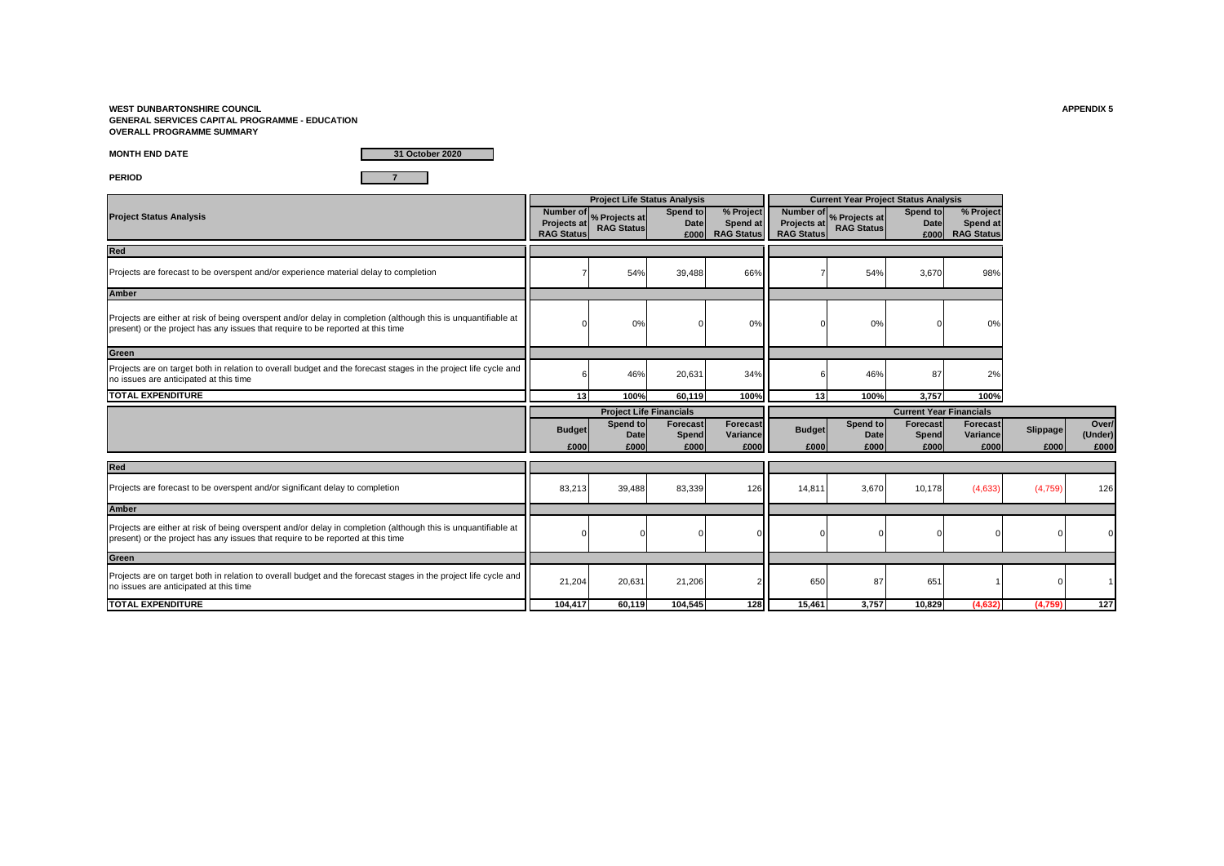**WEST DUNBARTONSHIRE COUNCIL APPENDIX 5 GENERAL SERVICES CAPITAL PROGRAMME - EDUCATION OVERALL PROGRAMME SUMMARY**

**MONTH END DATE**

**31 October 2020**

**PERIOD 7**

|                                                                                                                                                                                                  |                                               | <b>Project Life Status Analysis</b> |                                  |                                            |                                  | <b>Current Year Project Status Analysis</b>  |                                 |                                            |                  |                          |
|--------------------------------------------------------------------------------------------------------------------------------------------------------------------------------------------------|-----------------------------------------------|-------------------------------------|----------------------------------|--------------------------------------------|----------------------------------|----------------------------------------------|---------------------------------|--------------------------------------------|------------------|--------------------------|
| <b>Project Status Analysis</b>                                                                                                                                                                   | Number of<br>Projects at<br><b>RAG Status</b> | % Projects at<br><b>RAG Status</b>  | Spend to<br><b>Date</b><br>£000  | % Project<br>Spend at<br><b>RAG Status</b> | Projects at<br><b>RAG Status</b> | Number of % Projects at<br><b>RAG Status</b> | Spend to<br><b>Date</b><br>£000 | % Project<br>Spend at<br><b>RAG Status</b> |                  |                          |
| <b>Red</b>                                                                                                                                                                                       |                                               |                                     |                                  |                                            |                                  |                                              |                                 |                                            |                  |                          |
| Projects are forecast to be overspent and/or experience material delay to completion                                                                                                             |                                               | 54%                                 | 39,488                           | 66%                                        |                                  | 54%                                          | 3,670                           | 98%                                        |                  |                          |
| <b>Amber</b>                                                                                                                                                                                     |                                               |                                     |                                  |                                            |                                  |                                              |                                 |                                            |                  |                          |
| Projects are either at risk of being overspent and/or delay in completion (although this is unquantifiable at<br>present) or the project has any issues that require to be reported at this time |                                               | 0%                                  |                                  | 0%                                         |                                  | 0%                                           |                                 | 0%                                         |                  |                          |
| Green                                                                                                                                                                                            |                                               |                                     |                                  |                                            |                                  |                                              |                                 |                                            |                  |                          |
| Projects are on target both in relation to overall budget and the forecast stages in the project life cycle and<br>no issues are anticipated at this time                                        |                                               | 46%                                 | 20,631                           | 34%                                        |                                  | 46%                                          | 87                              | 2%                                         |                  |                          |
| <b>TOTAL EXPENDITURE</b>                                                                                                                                                                         | 13                                            | 100%                                | 60,119                           | 100%                                       | 13                               | 100%                                         | 3,757                           | 100%                                       |                  |                          |
|                                                                                                                                                                                                  |                                               | <b>Project Life Financials</b>      |                                  |                                            |                                  |                                              | <b>Current Year Financials</b>  |                                            |                  |                          |
|                                                                                                                                                                                                  | <b>Budget</b><br>£000                         | Spend to<br>Date<br>£000            | <b>Forecast</b><br>Spend<br>£000 | Forecast<br>Variance<br>£000               | <b>Budget</b><br>£000            | Spend to<br>Date<br>£000                     | Forecast<br>Spend<br>£000       | <b>Forecast</b><br>Variance<br>£000        | Slippage<br>£000 | Over/<br>(Under)<br>£000 |
| Red                                                                                                                                                                                              |                                               |                                     |                                  |                                            |                                  |                                              |                                 |                                            |                  |                          |
| Projects are forecast to be overspent and/or significant delay to completion                                                                                                                     | 83,213                                        | 39,488                              | 83,339                           | 126                                        | 14,811                           | 3,670                                        | 10,178                          | (4,633)                                    | (4,759)          | 126                      |
| <b>Amber</b>                                                                                                                                                                                     |                                               |                                     |                                  |                                            |                                  |                                              |                                 |                                            |                  |                          |
| Projects are either at risk of being overspent and/or delay in completion (although this is unquantifiable at                                                                                    |                                               |                                     |                                  |                                            |                                  |                                              |                                 |                                            |                  |                          |
| present) or the project has any issues that require to be reported at this time                                                                                                                  |                                               |                                     |                                  |                                            |                                  |                                              |                                 |                                            |                  |                          |
| Green                                                                                                                                                                                            |                                               |                                     |                                  |                                            |                                  |                                              |                                 |                                            |                  |                          |
| Projects are on target both in relation to overall budget and the forecast stages in the project life cycle and<br>no issues are anticipated at this time                                        | 21,204                                        | 20,631                              | 21,206                           |                                            | 650                              | 87                                           | 651                             |                                            |                  |                          |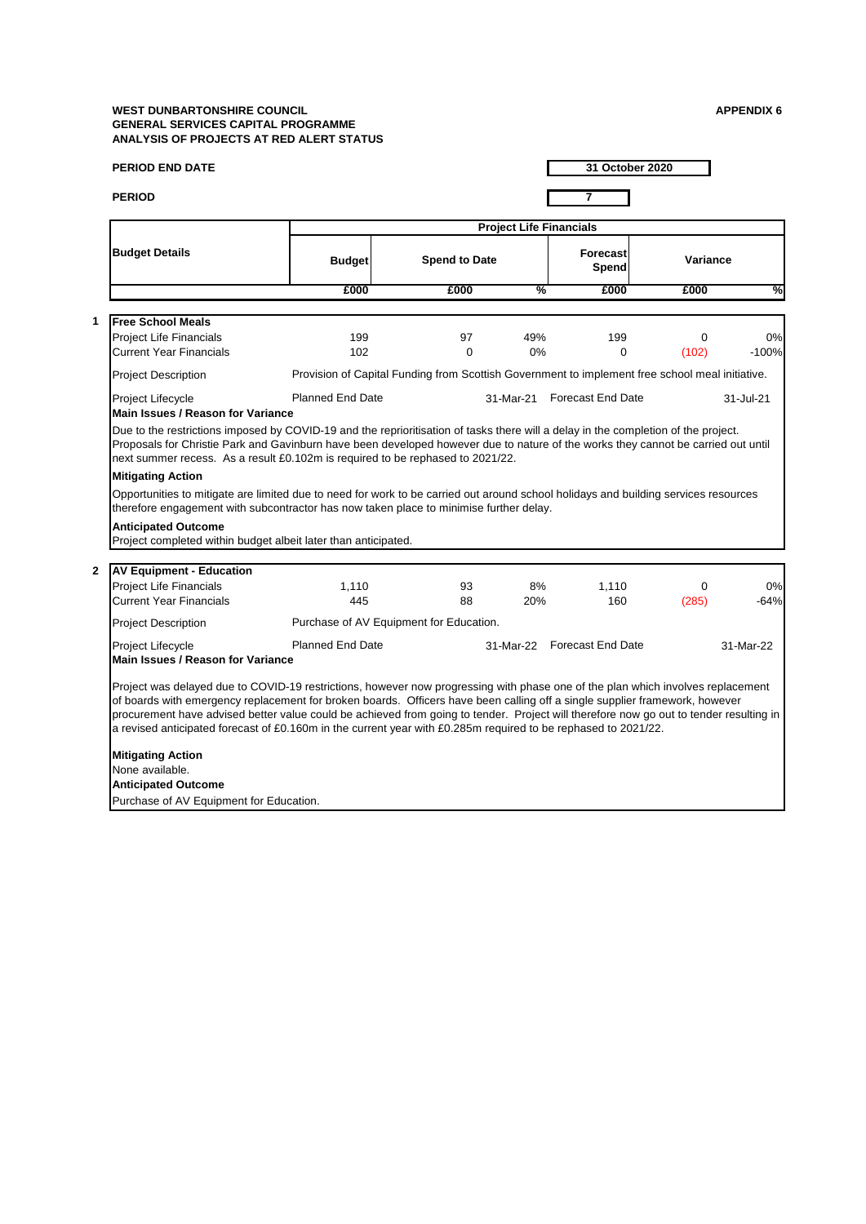| <b>PERIOD END DATE</b>                                                                                                                                                                                                                                                                                                                                                                                                                                                                                                     |                                                                                                 |                      |                                | 31 October 2020             |            |               |
|----------------------------------------------------------------------------------------------------------------------------------------------------------------------------------------------------------------------------------------------------------------------------------------------------------------------------------------------------------------------------------------------------------------------------------------------------------------------------------------------------------------------------|-------------------------------------------------------------------------------------------------|----------------------|--------------------------------|-----------------------------|------------|---------------|
| <b>PERIOD</b>                                                                                                                                                                                                                                                                                                                                                                                                                                                                                                              |                                                                                                 |                      |                                | $\overline{7}$              |            |               |
|                                                                                                                                                                                                                                                                                                                                                                                                                                                                                                                            |                                                                                                 |                      | <b>Project Life Financials</b> |                             |            |               |
| <b>Budget Details</b>                                                                                                                                                                                                                                                                                                                                                                                                                                                                                                      | <b>Budget</b>                                                                                   | <b>Spend to Date</b> |                                | Forecast<br>Spend           | Variance   |               |
|                                                                                                                                                                                                                                                                                                                                                                                                                                                                                                                            | £000                                                                                            | £000                 | %                              | £000                        | £000       | %             |
|                                                                                                                                                                                                                                                                                                                                                                                                                                                                                                                            |                                                                                                 |                      |                                |                             |            |               |
| 1<br><b>Free School Meals</b><br><b>Project Life Financials</b><br><b>Current Year Financials</b>                                                                                                                                                                                                                                                                                                                                                                                                                          | 199<br>102                                                                                      | 97<br>0              | 49%<br>0%                      | 199<br>$\Omega$             | 0<br>(102) | 0%<br>$-100%$ |
| <b>Project Description</b>                                                                                                                                                                                                                                                                                                                                                                                                                                                                                                 | Provision of Capital Funding from Scottish Government to implement free school meal initiative. |                      |                                |                             |            |               |
| Project Lifecycle<br><b>Main Issues / Reason for Variance</b>                                                                                                                                                                                                                                                                                                                                                                                                                                                              | <b>Planned End Date</b>                                                                         |                      |                                | 31-Mar-21 Forecast End Date |            | 31-Jul-21     |
| Proposals for Christie Park and Gavinburn have been developed however due to nature of the works they cannot be carried out until<br>next summer recess. As a result £0.102m is required to be rephased to 2021/22.<br><b>Mitigating Action</b><br>Opportunities to mitigate are limited due to need for work to be carried out around school holidays and building services resources                                                                                                                                     |                                                                                                 |                      |                                |                             |            |               |
| therefore engagement with subcontractor has now taken place to minimise further delay.<br><b>Anticipated Outcome</b><br>Project completed within budget albeit later than anticipated.<br>$\mathbf{2}$<br><b>AV Equipment - Education</b>                                                                                                                                                                                                                                                                                  |                                                                                                 |                      |                                |                             |            |               |
| <b>Project Life Financials</b><br><b>Current Year Financials</b>                                                                                                                                                                                                                                                                                                                                                                                                                                                           | 1,110<br>445                                                                                    | 93<br>88             | 8%<br>20%                      | 1,110<br>160                | 0<br>(285) | 0%<br>$-64%$  |
| <b>Project Description</b>                                                                                                                                                                                                                                                                                                                                                                                                                                                                                                 | Purchase of AV Equipment for Education.                                                         |                      |                                |                             |            |               |
| Project Lifecycle<br><b>Main Issues / Reason for Variance</b>                                                                                                                                                                                                                                                                                                                                                                                                                                                              | <b>Planned End Date</b>                                                                         |                      |                                | 31-Mar-22 Forecast End Date |            | 31-Mar-22     |
| Project was delayed due to COVID-19 restrictions, however now progressing with phase one of the plan which involves replacement<br>of boards with emergency replacement for broken boards. Officers have been calling off a single supplier framework, however<br>procurement have advised better value could be achieved from going to tender. Project will therefore now go out to tender resulting in<br>a revised anticipated forecast of £0.160m in the current year with £0.285m required to be rephased to 2021/22. |                                                                                                 |                      |                                |                             |            |               |
|                                                                                                                                                                                                                                                                                                                                                                                                                                                                                                                            |                                                                                                 |                      |                                |                             |            |               |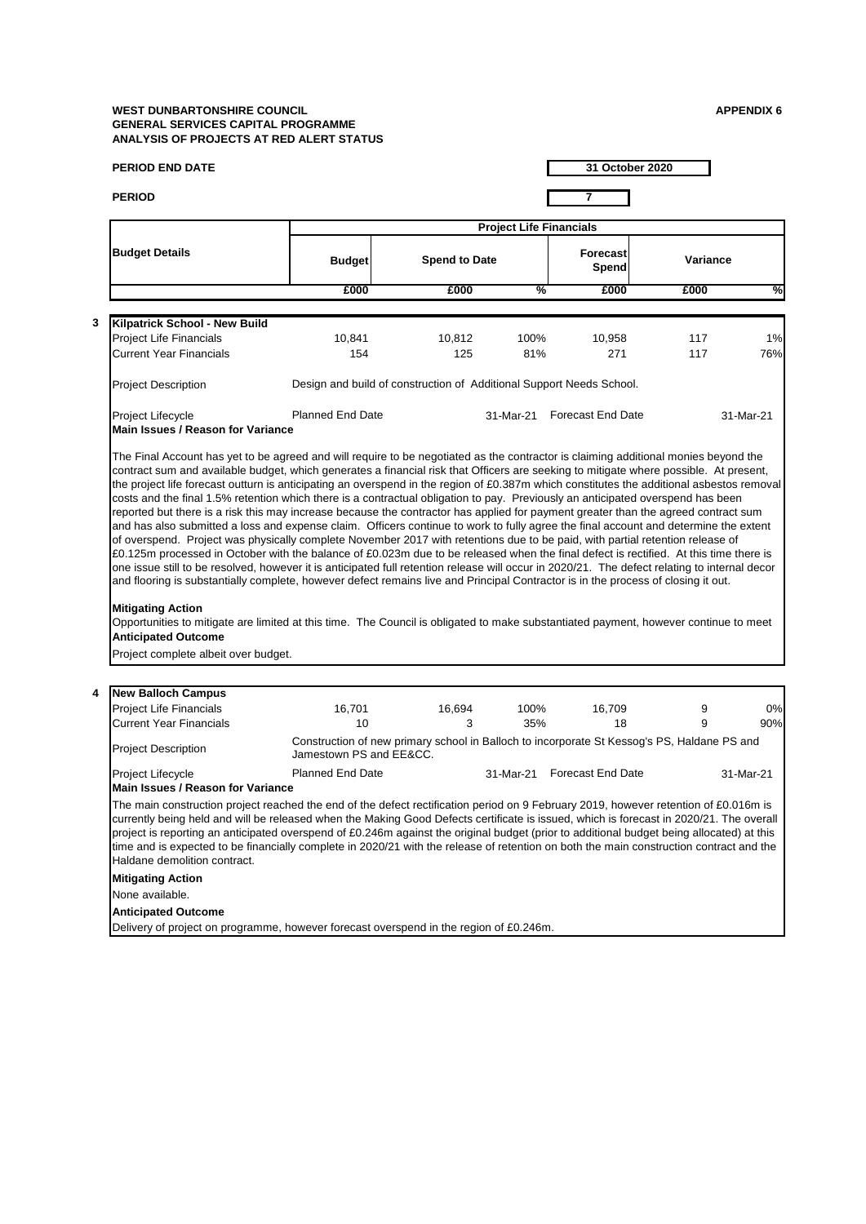**4**

| <b>PERIOD END DATE</b>                                                                                                                                                                                                                                                                                                                                                                                                                                                                                                                                                                                                                                                                                                                                                                                                                                                                                                                                                                                                                                                                                                                                                                                                                                                                         |                                                                                                                        |                      |                                | 31 October 2020          |            |           |
|------------------------------------------------------------------------------------------------------------------------------------------------------------------------------------------------------------------------------------------------------------------------------------------------------------------------------------------------------------------------------------------------------------------------------------------------------------------------------------------------------------------------------------------------------------------------------------------------------------------------------------------------------------------------------------------------------------------------------------------------------------------------------------------------------------------------------------------------------------------------------------------------------------------------------------------------------------------------------------------------------------------------------------------------------------------------------------------------------------------------------------------------------------------------------------------------------------------------------------------------------------------------------------------------|------------------------------------------------------------------------------------------------------------------------|----------------------|--------------------------------|--------------------------|------------|-----------|
| <b>PERIOD</b>                                                                                                                                                                                                                                                                                                                                                                                                                                                                                                                                                                                                                                                                                                                                                                                                                                                                                                                                                                                                                                                                                                                                                                                                                                                                                  |                                                                                                                        |                      |                                | 7                        |            |           |
|                                                                                                                                                                                                                                                                                                                                                                                                                                                                                                                                                                                                                                                                                                                                                                                                                                                                                                                                                                                                                                                                                                                                                                                                                                                                                                |                                                                                                                        |                      | <b>Project Life Financials</b> |                          |            |           |
| <b>Budget Details</b>                                                                                                                                                                                                                                                                                                                                                                                                                                                                                                                                                                                                                                                                                                                                                                                                                                                                                                                                                                                                                                                                                                                                                                                                                                                                          | <b>Budget</b>                                                                                                          | <b>Spend to Date</b> |                                | <b>Forecast</b><br>Spend | Variance   |           |
|                                                                                                                                                                                                                                                                                                                                                                                                                                                                                                                                                                                                                                                                                                                                                                                                                                                                                                                                                                                                                                                                                                                                                                                                                                                                                                | £000                                                                                                                   | £000                 | %                              | £000                     | £000       | %         |
|                                                                                                                                                                                                                                                                                                                                                                                                                                                                                                                                                                                                                                                                                                                                                                                                                                                                                                                                                                                                                                                                                                                                                                                                                                                                                                |                                                                                                                        |                      |                                |                          |            |           |
| <b>Kilpatrick School - New Build</b>                                                                                                                                                                                                                                                                                                                                                                                                                                                                                                                                                                                                                                                                                                                                                                                                                                                                                                                                                                                                                                                                                                                                                                                                                                                           |                                                                                                                        |                      |                                |                          |            |           |
| <b>Project Life Financials</b><br><b>Current Year Financials</b>                                                                                                                                                                                                                                                                                                                                                                                                                                                                                                                                                                                                                                                                                                                                                                                                                                                                                                                                                                                                                                                                                                                                                                                                                               | 10,841<br>154                                                                                                          | 10,812<br>125        | 100%<br>81%                    | 10,958<br>271            | 117<br>117 | 1%        |
|                                                                                                                                                                                                                                                                                                                                                                                                                                                                                                                                                                                                                                                                                                                                                                                                                                                                                                                                                                                                                                                                                                                                                                                                                                                                                                |                                                                                                                        |                      |                                |                          |            | 76%       |
| <b>Project Description</b>                                                                                                                                                                                                                                                                                                                                                                                                                                                                                                                                                                                                                                                                                                                                                                                                                                                                                                                                                                                                                                                                                                                                                                                                                                                                     | Design and build of construction of Additional Support Needs School.                                                   |                      |                                |                          |            |           |
| Project Lifecycle<br><b>Main Issues / Reason for Variance</b>                                                                                                                                                                                                                                                                                                                                                                                                                                                                                                                                                                                                                                                                                                                                                                                                                                                                                                                                                                                                                                                                                                                                                                                                                                  | <b>Planned End Date</b>                                                                                                |                      | 31-Mar-21                      | <b>Forecast End Date</b> |            | 31-Mar-21 |
| the project life forecast outturn is anticipating an overspend in the region of £0.387m which constitutes the additional asbestos removal<br>costs and the final 1.5% retention which there is a contractual obligation to pay. Previously an anticipated overspend has been<br>reported but there is a risk this may increase because the contractor has applied for payment greater than the agreed contract sum<br>and has also submitted a loss and expense claim. Officers continue to work to fully agree the final account and determine the extent<br>of overspend. Project was physically complete November 2017 with retentions due to be paid, with partial retention release of<br>£0.125m processed in October with the balance of £0.023m due to be released when the final defect is rectified. At this time there is<br>one issue still to be resolved, however it is anticipated full retention release will occur in 2020/21. The defect relating to internal decor<br>and flooring is substantially complete, however defect remains live and Principal Contractor is in the process of closing it out.<br><b>Mitigating Action</b><br>Opportunities to mitigate are limited at this time. The Council is obligated to make substantiated payment, however continue to meet |                                                                                                                        |                      |                                |                          |            |           |
| <b>Anticipated Outcome</b><br>Project complete albeit over budget.                                                                                                                                                                                                                                                                                                                                                                                                                                                                                                                                                                                                                                                                                                                                                                                                                                                                                                                                                                                                                                                                                                                                                                                                                             |                                                                                                                        |                      |                                |                          |            |           |
|                                                                                                                                                                                                                                                                                                                                                                                                                                                                                                                                                                                                                                                                                                                                                                                                                                                                                                                                                                                                                                                                                                                                                                                                                                                                                                |                                                                                                                        |                      |                                |                          |            |           |
| <b>New Balloch Campus</b><br>4                                                                                                                                                                                                                                                                                                                                                                                                                                                                                                                                                                                                                                                                                                                                                                                                                                                                                                                                                                                                                                                                                                                                                                                                                                                                 |                                                                                                                        |                      |                                |                          |            |           |
| Project Life Financials                                                                                                                                                                                                                                                                                                                                                                                                                                                                                                                                                                                                                                                                                                                                                                                                                                                                                                                                                                                                                                                                                                                                                                                                                                                                        | 16,701                                                                                                                 | 16,694               | 100%                           | 16,709                   | 9          | 0%        |
| Current Year Financials                                                                                                                                                                                                                                                                                                                                                                                                                                                                                                                                                                                                                                                                                                                                                                                                                                                                                                                                                                                                                                                                                                                                                                                                                                                                        | 10                                                                                                                     | 3                    | 35%                            | 18                       | 9          | 90%       |
| Project Description                                                                                                                                                                                                                                                                                                                                                                                                                                                                                                                                                                                                                                                                                                                                                                                                                                                                                                                                                                                                                                                                                                                                                                                                                                                                            | Construction of new primary school in Balloch to incorporate St Kessog's PS, Haldane PS and<br>Jamestown PS and EE&CC. |                      |                                |                          |            |           |
| Project Lifecycle<br>Main Issues / Reason for Variance                                                                                                                                                                                                                                                                                                                                                                                                                                                                                                                                                                                                                                                                                                                                                                                                                                                                                                                                                                                                                                                                                                                                                                                                                                         | <b>Planned End Date</b>                                                                                                |                      | 31-Mar-21                      | <b>Forecast End Date</b> |            | 31-Mar-21 |
| The main construction project reached the end of the defect rectification period on 9 February 2019, however retention of £0.016m is<br>currently being held and will be released when the Making Good Defects certificate is issued, which is forecast in 2020/21. The overall<br>project is reporting an anticipated overspend of £0.246m against the original budget (prior to additional budget being allocated) at this<br>time and is expected to be financially complete in 2020/21 with the release of retention on both the main construction contract and the<br>Haldane demolition contract.                                                                                                                                                                                                                                                                                                                                                                                                                                                                                                                                                                                                                                                                                        |                                                                                                                        |                      |                                |                          |            |           |
| <b>Mitigating Action</b>                                                                                                                                                                                                                                                                                                                                                                                                                                                                                                                                                                                                                                                                                                                                                                                                                                                                                                                                                                                                                                                                                                                                                                                                                                                                       |                                                                                                                        |                      |                                |                          |            |           |
| None available.                                                                                                                                                                                                                                                                                                                                                                                                                                                                                                                                                                                                                                                                                                                                                                                                                                                                                                                                                                                                                                                                                                                                                                                                                                                                                |                                                                                                                        |                      |                                |                          |            |           |
| <b>Anticipated Outcome</b>                                                                                                                                                                                                                                                                                                                                                                                                                                                                                                                                                                                                                                                                                                                                                                                                                                                                                                                                                                                                                                                                                                                                                                                                                                                                     |                                                                                                                        |                      |                                |                          |            |           |
| Delivery of project on programme, however forecast overspend in the region of £0.246m.                                                                                                                                                                                                                                                                                                                                                                                                                                                                                                                                                                                                                                                                                                                                                                                                                                                                                                                                                                                                                                                                                                                                                                                                         |                                                                                                                        |                      |                                |                          |            |           |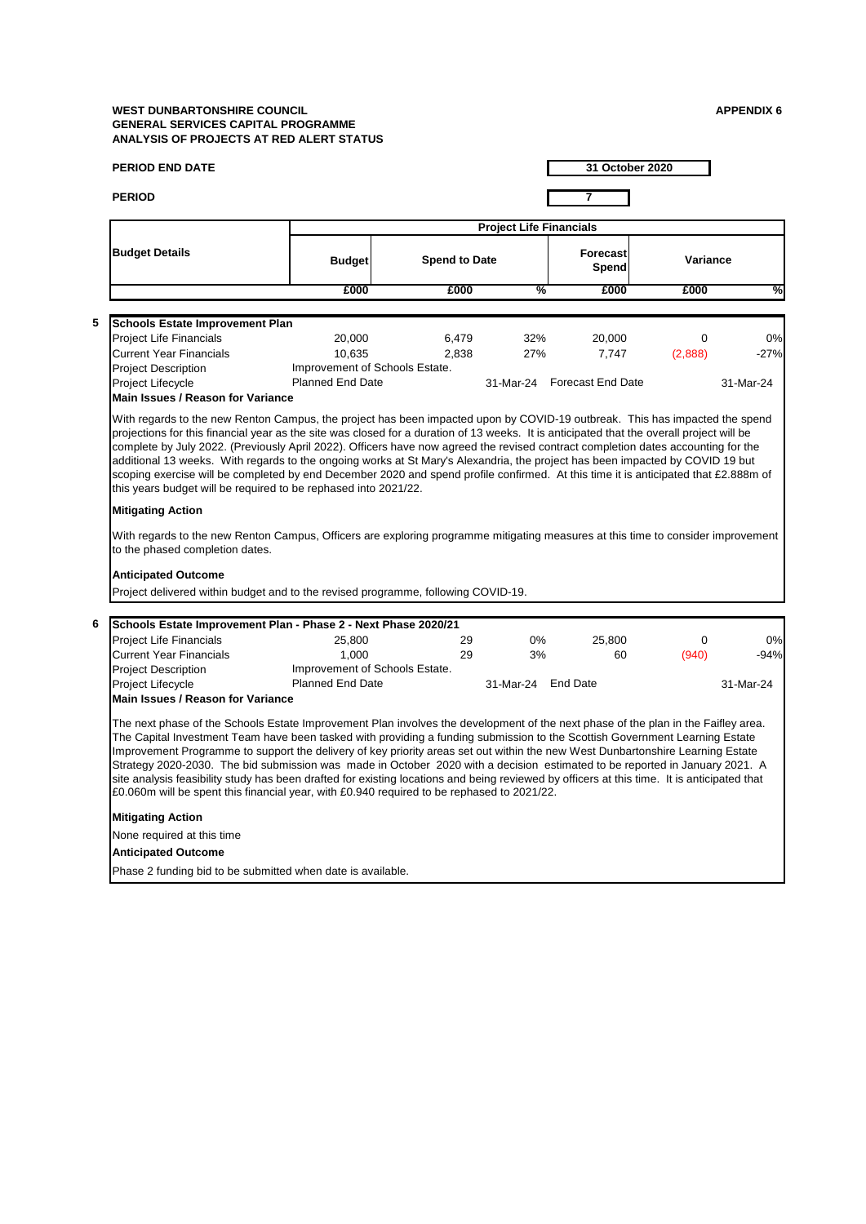|   | <b>PERIOD END DATE</b>                                                                                                                                                                                                                                                                                                                                                                                                                                                                                                                                                                                                                                                                                                                                                         |                                |                      |                                |     |                             | 31 October 2020 |           |
|---|--------------------------------------------------------------------------------------------------------------------------------------------------------------------------------------------------------------------------------------------------------------------------------------------------------------------------------------------------------------------------------------------------------------------------------------------------------------------------------------------------------------------------------------------------------------------------------------------------------------------------------------------------------------------------------------------------------------------------------------------------------------------------------|--------------------------------|----------------------|--------------------------------|-----|-----------------------------|-----------------|-----------|
|   | <b>PERIOD</b>                                                                                                                                                                                                                                                                                                                                                                                                                                                                                                                                                                                                                                                                                                                                                                  |                                |                      |                                |     | 7                           |                 |           |
|   |                                                                                                                                                                                                                                                                                                                                                                                                                                                                                                                                                                                                                                                                                                                                                                                |                                |                      | <b>Project Life Financials</b> |     |                             |                 |           |
|   | <b>Budget Details</b>                                                                                                                                                                                                                                                                                                                                                                                                                                                                                                                                                                                                                                                                                                                                                          | <b>Budget</b>                  | <b>Spend to Date</b> |                                |     | <b>Forecast</b><br>Spend    | Variance        |           |
|   |                                                                                                                                                                                                                                                                                                                                                                                                                                                                                                                                                                                                                                                                                                                                                                                | £000                           | £000                 |                                | %   | £000                        | £000            | ℅         |
| 5 |                                                                                                                                                                                                                                                                                                                                                                                                                                                                                                                                                                                                                                                                                                                                                                                |                                |                      |                                |     |                             |                 |           |
|   | <b>Schools Estate Improvement Plan</b><br><b>Project Life Financials</b>                                                                                                                                                                                                                                                                                                                                                                                                                                                                                                                                                                                                                                                                                                       | 20,000                         | 6,479                |                                | 32% | 20,000                      | 0               | 0%        |
|   | <b>Current Year Financials</b>                                                                                                                                                                                                                                                                                                                                                                                                                                                                                                                                                                                                                                                                                                                                                 | 10,635                         | 2,838                |                                | 27% | 7,747                       | (2,888)         | $-27%$    |
|   | <b>Project Description</b>                                                                                                                                                                                                                                                                                                                                                                                                                                                                                                                                                                                                                                                                                                                                                     | Improvement of Schools Estate. |                      |                                |     |                             |                 |           |
|   | Project Lifecycle                                                                                                                                                                                                                                                                                                                                                                                                                                                                                                                                                                                                                                                                                                                                                              | <b>Planned End Date</b>        |                      |                                |     | 31-Mar-24 Forecast End Date |                 | 31-Mar-24 |
|   | <b>Main Issues / Reason for Variance</b>                                                                                                                                                                                                                                                                                                                                                                                                                                                                                                                                                                                                                                                                                                                                       |                                |                      |                                |     |                             |                 |           |
|   | complete by July 2022. (Previously April 2022). Officers have now agreed the revised contract completion dates accounting for the<br>additional 13 weeks. With regards to the ongoing works at St Mary's Alexandria, the project has been impacted by COVID 19 but<br>scoping exercise will be completed by end December 2020 and spend profile confirmed. At this time it is anticipated that £2.888m of                                                                                                                                                                                                                                                                                                                                                                      |                                |                      |                                |     |                             |                 |           |
|   | this years budget will be required to be rephased into 2021/22.                                                                                                                                                                                                                                                                                                                                                                                                                                                                                                                                                                                                                                                                                                                |                                |                      |                                |     |                             |                 |           |
|   | <b>Mitigating Action</b>                                                                                                                                                                                                                                                                                                                                                                                                                                                                                                                                                                                                                                                                                                                                                       |                                |                      |                                |     |                             |                 |           |
|   | With regards to the new Renton Campus, Officers are exploring programme mitigating measures at this time to consider improvement<br>to the phased completion dates.                                                                                                                                                                                                                                                                                                                                                                                                                                                                                                                                                                                                            |                                |                      |                                |     |                             |                 |           |
|   | <b>Anticipated Outcome</b><br>Project delivered within budget and to the revised programme, following COVID-19.                                                                                                                                                                                                                                                                                                                                                                                                                                                                                                                                                                                                                                                                |                                |                      |                                |     |                             |                 |           |
|   | Schools Estate Improvement Plan - Phase 2 - Next Phase 2020/21                                                                                                                                                                                                                                                                                                                                                                                                                                                                                                                                                                                                                                                                                                                 |                                |                      |                                |     |                             |                 |           |
|   | <b>Project Life Financials</b>                                                                                                                                                                                                                                                                                                                                                                                                                                                                                                                                                                                                                                                                                                                                                 | 25,800                         |                      | 29                             | 0%  | 25,800                      | 0               | 0%        |
|   | <b>Current Year Financials</b>                                                                                                                                                                                                                                                                                                                                                                                                                                                                                                                                                                                                                                                                                                                                                 | 1.000                          |                      | 29                             | 3%  | 60                          | (940)           | $-94%$    |
|   | <b>Project Description</b>                                                                                                                                                                                                                                                                                                                                                                                                                                                                                                                                                                                                                                                                                                                                                     | Improvement of Schools Estate. |                      |                                |     |                             |                 |           |
|   | Project Lifecycle                                                                                                                                                                                                                                                                                                                                                                                                                                                                                                                                                                                                                                                                                                                                                              | <b>Planned End Date</b>        |                      | 31-Mar-24 End Date             |     |                             |                 | 31-Mar-24 |
| 6 | Main Issues / Reason for Variance                                                                                                                                                                                                                                                                                                                                                                                                                                                                                                                                                                                                                                                                                                                                              |                                |                      |                                |     |                             |                 |           |
|   | The next phase of the Schools Estate Improvement Plan involves the development of the next phase of the plan in the Faifley area.<br>The Capital Investment Team have been tasked with providing a funding submission to the Scottish Government Learning Estate<br>Improvement Programme to support the delivery of key priority areas set out within the new West Dunbartonshire Learning Estate<br>Strategy 2020-2030. The bid submission was made in October 2020 with a decision estimated to be reported in January 2021. A<br>site analysis feasibility study has been drafted for existing locations and being reviewed by officers at this time. It is anticipated that<br>£0.060m will be spent this financial year, with £0.940 required to be rephased to 2021/22. |                                |                      |                                |     |                             |                 |           |
|   | <b>Mitigating Action</b>                                                                                                                                                                                                                                                                                                                                                                                                                                                                                                                                                                                                                                                                                                                                                       |                                |                      |                                |     |                             |                 |           |
|   | None required at this time                                                                                                                                                                                                                                                                                                                                                                                                                                                                                                                                                                                                                                                                                                                                                     |                                |                      |                                |     |                             |                 |           |
|   | <b>Anticipated Outcome</b>                                                                                                                                                                                                                                                                                                                                                                                                                                                                                                                                                                                                                                                                                                                                                     |                                |                      |                                |     |                             |                 |           |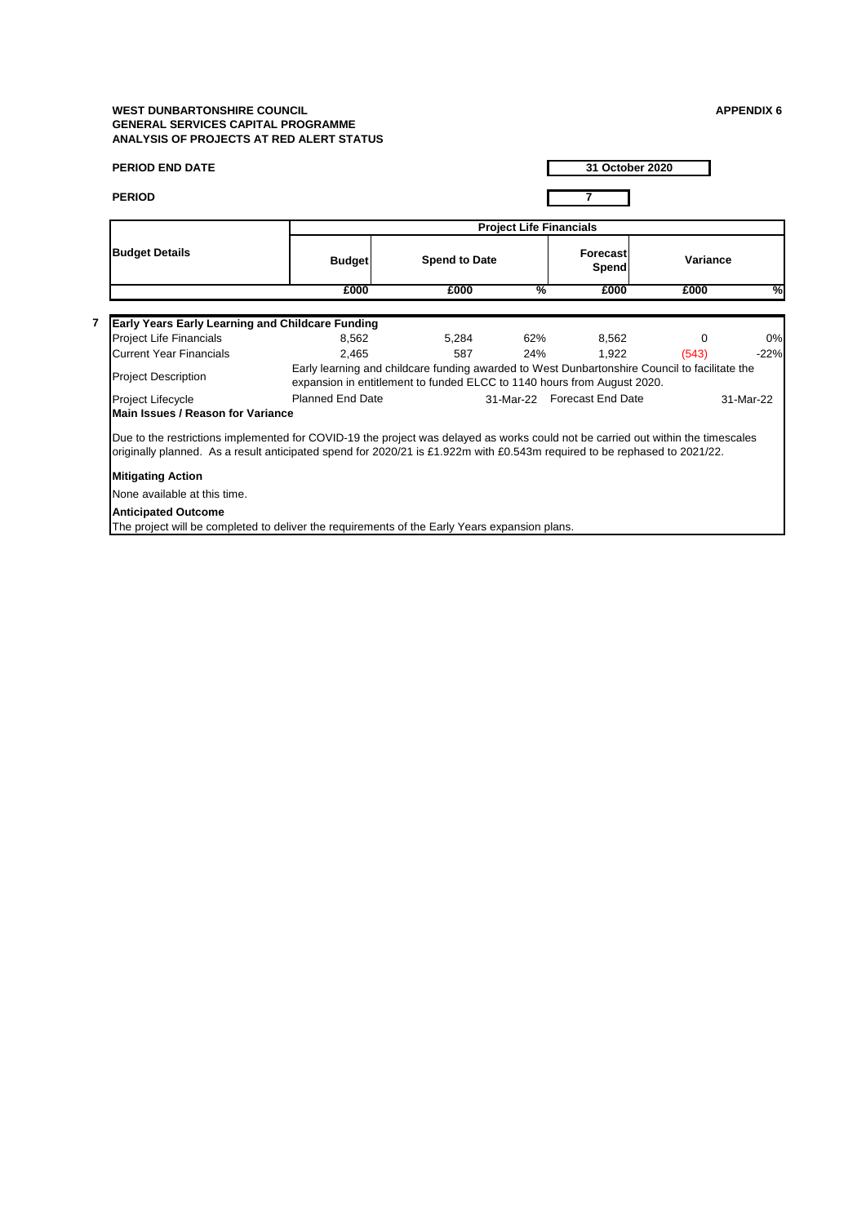| <b>PERIOD END DATE</b>                                                                                                                                                                                                                                        |                                                                                                                                                                          |                      |                                | 31 October 2020             |          |           |  |
|---------------------------------------------------------------------------------------------------------------------------------------------------------------------------------------------------------------------------------------------------------------|--------------------------------------------------------------------------------------------------------------------------------------------------------------------------|----------------------|--------------------------------|-----------------------------|----------|-----------|--|
| <b>PERIOD</b>                                                                                                                                                                                                                                                 |                                                                                                                                                                          |                      |                                | 7                           |          |           |  |
|                                                                                                                                                                                                                                                               |                                                                                                                                                                          |                      | <b>Project Life Financials</b> |                             |          |           |  |
| <b>Budget Details</b>                                                                                                                                                                                                                                         | <b>Budget</b>                                                                                                                                                            | <b>Spend to Date</b> |                                | Forecast<br>Spend           | Variance |           |  |
|                                                                                                                                                                                                                                                               | £000                                                                                                                                                                     | £000                 | %                              | £000                        | £000     | %         |  |
|                                                                                                                                                                                                                                                               |                                                                                                                                                                          |                      |                                |                             |          |           |  |
| <b>Early Years Early Learning and Childcare Funding</b>                                                                                                                                                                                                       |                                                                                                                                                                          |                      |                                |                             |          |           |  |
| Project Life Financials                                                                                                                                                                                                                                       | 8.562                                                                                                                                                                    | 5,284                | 62%                            | 8,562                       | 0        | 0%        |  |
| <b>Current Year Financials</b>                                                                                                                                                                                                                                | 2.465                                                                                                                                                                    | 587                  | 24%                            | 1.922                       | (543)    | $-22%$    |  |
| <b>Project Description</b>                                                                                                                                                                                                                                    | Early learning and childcare funding awarded to West Dunbartonshire Council to facilitate the<br>expansion in entitlement to funded ELCC to 1140 hours from August 2020. |                      |                                |                             |          |           |  |
| Project Lifecycle                                                                                                                                                                                                                                             | <b>Planned End Date</b>                                                                                                                                                  |                      |                                | 31-Mar-22 Forecast End Date |          | 31-Mar-22 |  |
| Main Issues / Reason for Variance                                                                                                                                                                                                                             |                                                                                                                                                                          |                      |                                |                             |          |           |  |
| Due to the restrictions implemented for COVID-19 the project was delayed as works could not be carried out within the timescales<br>originally planned. As a result anticipated spend for 2020/21 is £1.922m with £0.543m required to be rephased to 2021/22. |                                                                                                                                                                          |                      |                                |                             |          |           |  |
| <b>Mitigating Action</b>                                                                                                                                                                                                                                      |                                                                                                                                                                          |                      |                                |                             |          |           |  |
| None available at this time.                                                                                                                                                                                                                                  |                                                                                                                                                                          |                      |                                |                             |          |           |  |
| <b>Anticipated Outcome</b>                                                                                                                                                                                                                                    |                                                                                                                                                                          |                      |                                |                             |          |           |  |
| The project will be completed to deliver the requirements of the Early Years expansion plans.                                                                                                                                                                 |                                                                                                                                                                          |                      |                                |                             |          |           |  |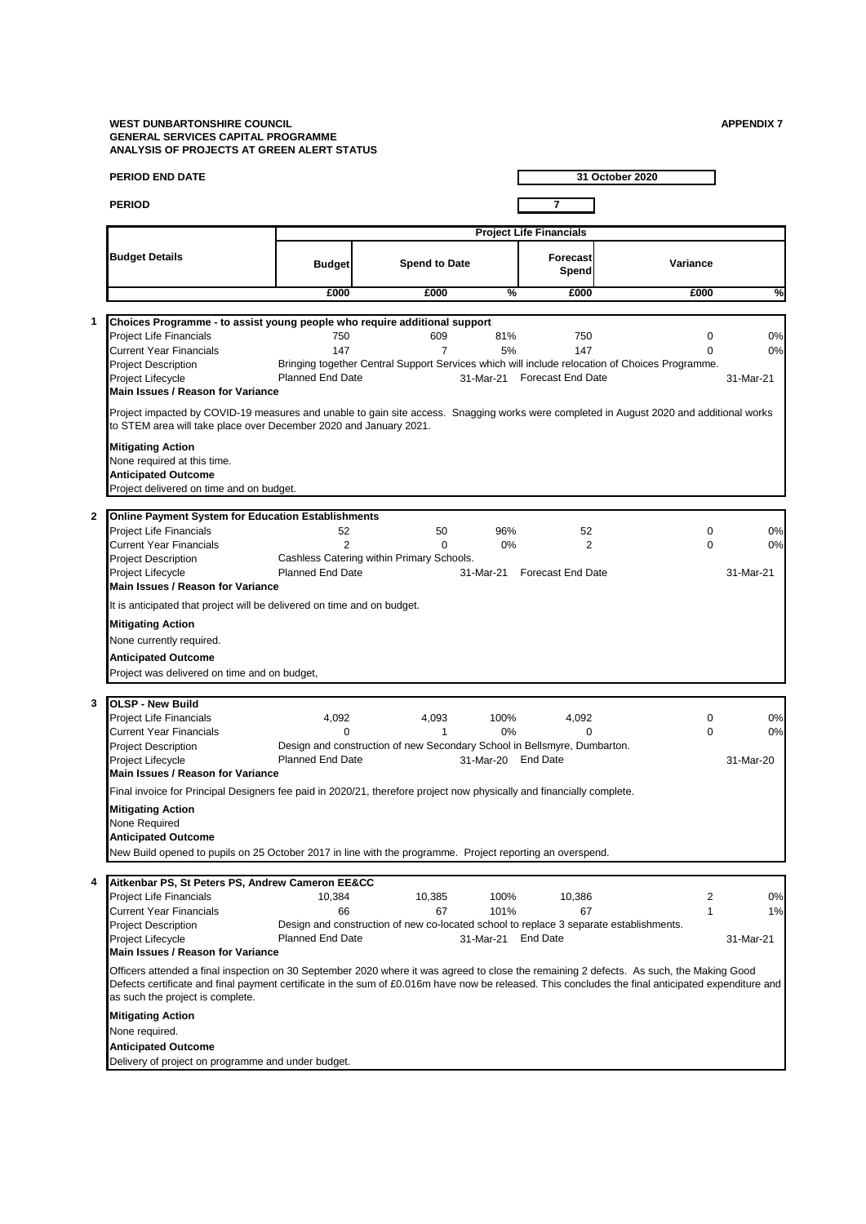l,

l,

|              | <b>PERIOD END DATE</b>                                                                                                                                                                                                                                                                                                             |                                                                                        |                       |                    |                                           | 31 October 2020                                                                                                           |                       |
|--------------|------------------------------------------------------------------------------------------------------------------------------------------------------------------------------------------------------------------------------------------------------------------------------------------------------------------------------------|----------------------------------------------------------------------------------------|-----------------------|--------------------|-------------------------------------------|---------------------------------------------------------------------------------------------------------------------------|-----------------------|
|              | <b>PERIOD</b>                                                                                                                                                                                                                                                                                                                      |                                                                                        |                       |                    | 7                                         |                                                                                                                           |                       |
|              |                                                                                                                                                                                                                                                                                                                                    |                                                                                        |                       |                    | <b>Project Life Financials</b>            |                                                                                                                           |                       |
|              | <b>Budget Details</b>                                                                                                                                                                                                                                                                                                              | <b>Budget</b>                                                                          | <b>Spend to Date</b>  |                    | Forecast<br>Spend                         | Variance                                                                                                                  |                       |
|              |                                                                                                                                                                                                                                                                                                                                    | £000                                                                                   | £000                  | %                  | £000                                      | £000                                                                                                                      | %                     |
|              |                                                                                                                                                                                                                                                                                                                                    |                                                                                        |                       |                    |                                           |                                                                                                                           |                       |
| 1            | Choices Programme - to assist young people who require additional support<br><b>Project Life Financials</b><br><b>Current Year Financials</b><br><b>Project Description</b><br>Project Lifecycle                                                                                                                                   | 750<br>147<br><b>Planned End Date</b>                                                  | 609<br>$\overline{7}$ | 81%<br>5%          | 750<br>147<br>31-Mar-21 Forecast End Date | $\mathbf 0$<br>$\Omega$<br>Bringing together Central Support Services which will include relocation of Choices Programme. | 0%<br>0%<br>31-Mar-21 |
|              | Main Issues / Reason for Variance                                                                                                                                                                                                                                                                                                  |                                                                                        |                       |                    |                                           |                                                                                                                           |                       |
|              | Project impacted by COVID-19 measures and unable to gain site access. Snagging works were completed in August 2020 and additional works<br>to STEM area will take place over December 2020 and January 2021.                                                                                                                       |                                                                                        |                       |                    |                                           |                                                                                                                           |                       |
|              | <b>Mitigating Action</b><br>None required at this time.<br><b>Anticipated Outcome</b><br>Project delivered on time and on budget.                                                                                                                                                                                                  |                                                                                        |                       |                    |                                           |                                                                                                                           |                       |
| $\mathbf{2}$ | <b>Online Payment System for Education Establishments</b>                                                                                                                                                                                                                                                                          |                                                                                        |                       |                    |                                           |                                                                                                                           |                       |
|              | <b>Project Life Financials</b>                                                                                                                                                                                                                                                                                                     | 52                                                                                     | 50                    | 96%                | 52                                        | $\mathbf 0$                                                                                                               | 0%                    |
|              | <b>Current Year Financials</b>                                                                                                                                                                                                                                                                                                     | $\overline{2}$                                                                         | 0                     | 0%                 | $\overline{2}$                            | $\Omega$                                                                                                                  | 0%                    |
|              | <b>Project Description</b>                                                                                                                                                                                                                                                                                                         | Cashless Catering within Primary Schools.<br><b>Planned End Date</b>                   |                       |                    | 31-Mar-21 Forecast End Date               |                                                                                                                           | 31-Mar-21             |
|              | Project Lifecycle<br>Main Issues / Reason for Variance                                                                                                                                                                                                                                                                             |                                                                                        |                       |                    |                                           |                                                                                                                           |                       |
|              | It is anticipated that project will be delivered on time and on budget.                                                                                                                                                                                                                                                            |                                                                                        |                       |                    |                                           |                                                                                                                           |                       |
|              |                                                                                                                                                                                                                                                                                                                                    |                                                                                        |                       |                    |                                           |                                                                                                                           |                       |
|              | <b>Mitigating Action</b>                                                                                                                                                                                                                                                                                                           |                                                                                        |                       |                    |                                           |                                                                                                                           |                       |
|              | None currently required.<br><b>Anticipated Outcome</b>                                                                                                                                                                                                                                                                             |                                                                                        |                       |                    |                                           |                                                                                                                           |                       |
|              | Project was delivered on time and on budget,                                                                                                                                                                                                                                                                                       |                                                                                        |                       |                    |                                           |                                                                                                                           |                       |
|              |                                                                                                                                                                                                                                                                                                                                    |                                                                                        |                       |                    |                                           |                                                                                                                           |                       |
| 3            | <b>OLSP - New Build</b>                                                                                                                                                                                                                                                                                                            |                                                                                        |                       |                    |                                           |                                                                                                                           |                       |
|              | <b>Project Life Financials</b>                                                                                                                                                                                                                                                                                                     | 4,092                                                                                  | 4,093                 | 100%               | 4,092                                     | $\mathbf 0$                                                                                                               | 0%                    |
|              | <b>Current Year Financials</b><br><b>Project Description</b>                                                                                                                                                                                                                                                                       | $\Omega$<br>Design and construction of new Secondary School in Bellsmyre, Dumbarton.   | 1                     | 0%                 | $\Omega$                                  | $\mathbf 0$                                                                                                               | 0%                    |
|              | Project Lifecycle                                                                                                                                                                                                                                                                                                                  | <b>Planned End Date</b>                                                                |                       | 31-Mar-20 End Date |                                           |                                                                                                                           | 31-Mar-20             |
|              | Main Issues / Reason for Variance                                                                                                                                                                                                                                                                                                  |                                                                                        |                       |                    |                                           |                                                                                                                           |                       |
|              | Final invoice for Principal Designers fee paid in 2020/21, therefore project now physically and financially complete.                                                                                                                                                                                                              |                                                                                        |                       |                    |                                           |                                                                                                                           |                       |
|              | <b>Mitigating Action</b><br>None Required<br><b>Anticipated Outcome</b>                                                                                                                                                                                                                                                            |                                                                                        |                       |                    |                                           |                                                                                                                           |                       |
|              | New Build opened to pupils on 25 October 2017 in line with the programme. Project reporting an overspend.                                                                                                                                                                                                                          |                                                                                        |                       |                    |                                           |                                                                                                                           |                       |
|              |                                                                                                                                                                                                                                                                                                                                    |                                                                                        |                       |                    |                                           |                                                                                                                           |                       |
| 4            | Aitkenbar PS, St Peters PS, Andrew Cameron EE&CC                                                                                                                                                                                                                                                                                   |                                                                                        |                       |                    |                                           |                                                                                                                           |                       |
|              | Project Life Financials<br><b>Current Year Financials</b>                                                                                                                                                                                                                                                                          | 10,384<br>66                                                                           | 10,385<br>67          | 100%<br>101%       | 10,386<br>67                              | $\overline{2}$<br>$\mathbf{1}$                                                                                            | 0%<br>1%              |
|              | <b>Project Description</b>                                                                                                                                                                                                                                                                                                         | Design and construction of new co-located school to replace 3 separate establishments. |                       |                    |                                           |                                                                                                                           |                       |
|              | Project Lifecycle                                                                                                                                                                                                                                                                                                                  | <b>Planned End Date</b>                                                                |                       | 31-Mar-21 End Date |                                           |                                                                                                                           | 31-Mar-21             |
|              | Main Issues / Reason for Variance                                                                                                                                                                                                                                                                                                  |                                                                                        |                       |                    |                                           |                                                                                                                           |                       |
|              | Officers attended a final inspection on 30 September 2020 where it was agreed to close the remaining 2 defects. As such, the Making Good<br>Defects certificate and final payment certificate in the sum of £0.016m have now be released. This concludes the final anticipated expenditure and<br>as such the project is complete. |                                                                                        |                       |                    |                                           |                                                                                                                           |                       |
|              | <b>Mitigating Action</b>                                                                                                                                                                                                                                                                                                           |                                                                                        |                       |                    |                                           |                                                                                                                           |                       |
|              | None required.                                                                                                                                                                                                                                                                                                                     |                                                                                        |                       |                    |                                           |                                                                                                                           |                       |
|              | <b>Anticipated Outcome</b>                                                                                                                                                                                                                                                                                                         |                                                                                        |                       |                    |                                           |                                                                                                                           |                       |
|              | Delivery of project on programme and under budget.                                                                                                                                                                                                                                                                                 |                                                                                        |                       |                    |                                           |                                                                                                                           |                       |